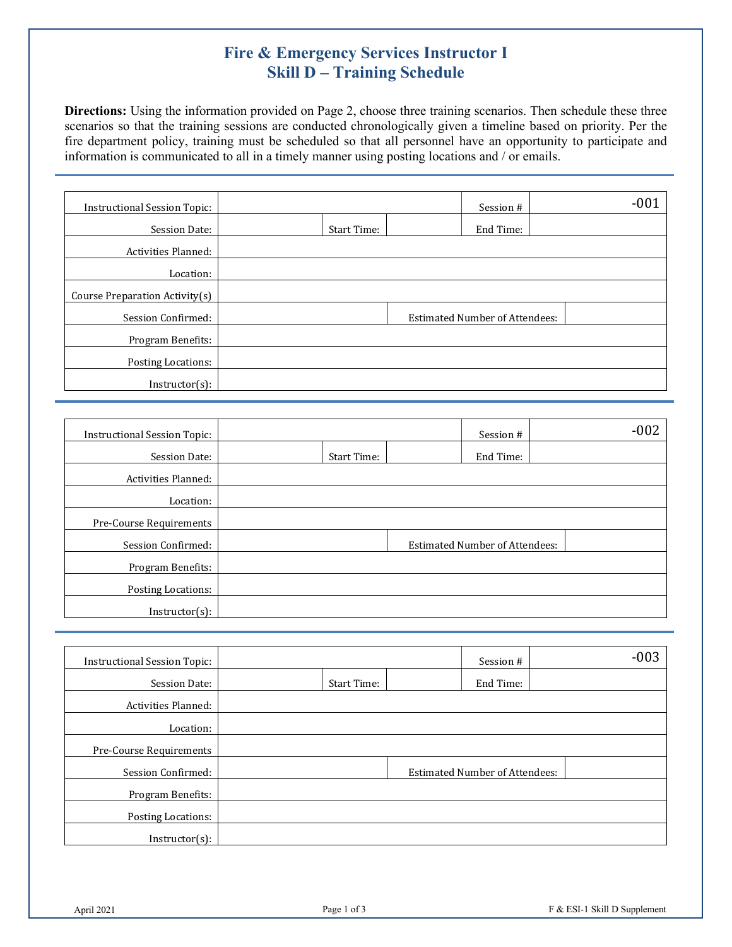## **Fire & Emergency Services Instructor I Skill D – Training Schedule**

**Directions:** Using the information provided on Page 2, choose three training scenarios. Then schedule these three scenarios so that the training sessions are conducted chronologically given a timeline based on priority. Per the fire department policy, training must be scheduled so that all personnel have an opportunity to participate and information is communicated to all in a timely manner using posting locations and / or emails.

| <b>Instructional Session Topic:</b> |             | Session #                             |  | $-001$ |
|-------------------------------------|-------------|---------------------------------------|--|--------|
| Session Date:                       | Start Time: | End Time:                             |  |        |
| Activities Planned:                 |             |                                       |  |        |
| Location:                           |             |                                       |  |        |
| Course Preparation Activity(s)      |             |                                       |  |        |
| Session Confirmed:                  |             | <b>Estimated Number of Attendees:</b> |  |        |
| Program Benefits:                   |             |                                       |  |        |
| Posting Locations:                  |             |                                       |  |        |
| $Instructor(s)$ :                   |             |                                       |  |        |

| <b>Instructional Session Topic:</b> |             | Session #                             | $-002$ |
|-------------------------------------|-------------|---------------------------------------|--------|
| Session Date:                       | Start Time: | End Time:                             |        |
| <b>Activities Planned:</b>          |             |                                       |        |
| Location:                           |             |                                       |        |
| Pre-Course Requirements             |             |                                       |        |
| Session Confirmed:                  |             | <b>Estimated Number of Attendees:</b> |        |
| Program Benefits:                   |             |                                       |        |
| Posting Locations:                  |             |                                       |        |
| $Instructor(s)$ :                   |             |                                       |        |

| <b>Instructional Session Topic:</b> |             | Session #                             | $-003$ |
|-------------------------------------|-------------|---------------------------------------|--------|
| Session Date:                       | Start Time: | End Time:                             |        |
| <b>Activities Planned:</b>          |             |                                       |        |
| Location:                           |             |                                       |        |
| Pre-Course Requirements             |             |                                       |        |
| Session Confirmed:                  |             | <b>Estimated Number of Attendees:</b> |        |
| Program Benefits:                   |             |                                       |        |
| Posting Locations:                  |             |                                       |        |
| $Instructor(s)$ :                   |             |                                       |        |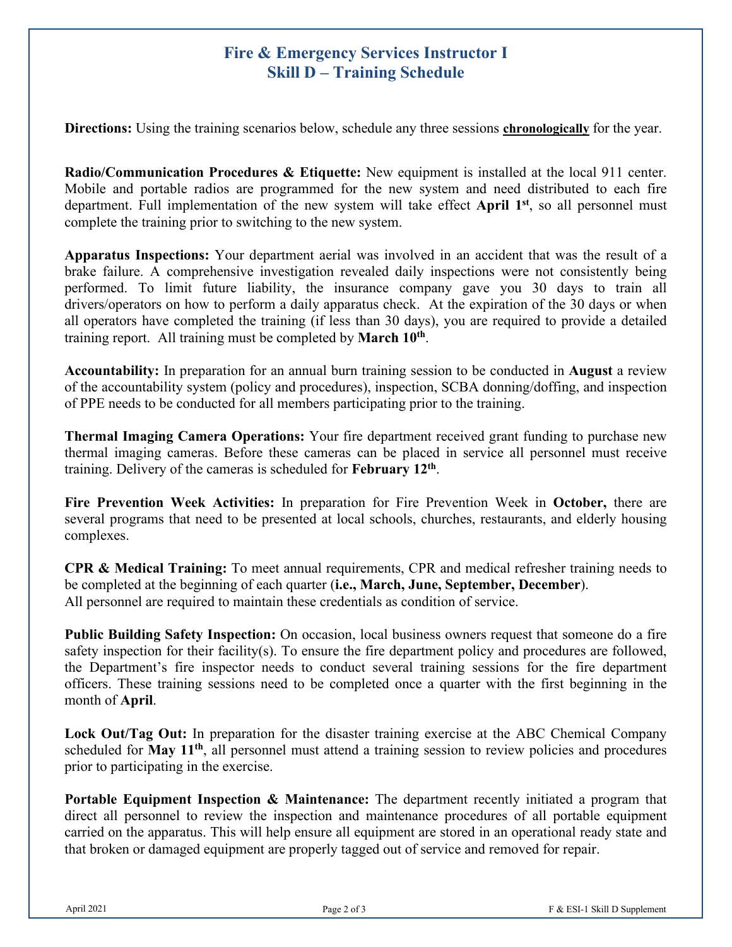## **Fire & Emergency Services Instructor I Skill D – Training Schedule**

**Directions:** Using the training scenarios below, schedule any three sessions **chronologically** for the year.

**Radio/Communication Procedures & Etiquette:** New equipment is installed at the local 911 center. Mobile and portable radios are programmed for the new system and need distributed to each fire department. Full implementation of the new system will take effect **April 1st**, so all personnel must complete the training prior to switching to the new system.

**Apparatus Inspections:** Your department aerial was involved in an accident that was the result of a brake failure. A comprehensive investigation revealed daily inspections were not consistently being performed. To limit future liability, the insurance company gave you 30 days to train all drivers/operators on how to perform a daily apparatus check. At the expiration of the 30 days or when all operators have completed the training (if less than 30 days), you are required to provide a detailed training report. All training must be completed by **March 10th**.

**Accountability:** In preparation for an annual burn training session to be conducted in **August** a review of the accountability system (policy and procedures), inspection, SCBA donning/doffing, and inspection of PPE needs to be conducted for all members participating prior to the training.

**Thermal Imaging Camera Operations:** Your fire department received grant funding to purchase new thermal imaging cameras. Before these cameras can be placed in service all personnel must receive training. Delivery of the cameras is scheduled for **February 12th**.

**Fire Prevention Week Activities:** In preparation for Fire Prevention Week in **October,** there are several programs that need to be presented at local schools, churches, restaurants, and elderly housing complexes.

**CPR & Medical Training:** To meet annual requirements, CPR and medical refresher training needs to be completed at the beginning of each quarter (**i.e., March, June, September, December**). All personnel are required to maintain these credentials as condition of service.

**Public Building Safety Inspection:** On occasion, local business owners request that someone do a fire safety inspection for their facility(s). To ensure the fire department policy and procedures are followed, the Department's fire inspector needs to conduct several training sessions for the fire department officers. These training sessions need to be completed once a quarter with the first beginning in the month of **April**.

**Lock Out/Tag Out:** In preparation for the disaster training exercise at the ABC Chemical Company scheduled for **May 11<sup>th</sup>**, all personnel must attend a training session to review policies and procedures prior to participating in the exercise.

**Portable Equipment Inspection & Maintenance:** The department recently initiated a program that direct all personnel to review the inspection and maintenance procedures of all portable equipment carried on the apparatus. This will help ensure all equipment are stored in an operational ready state and that broken or damaged equipment are properly tagged out of service and removed for repair.